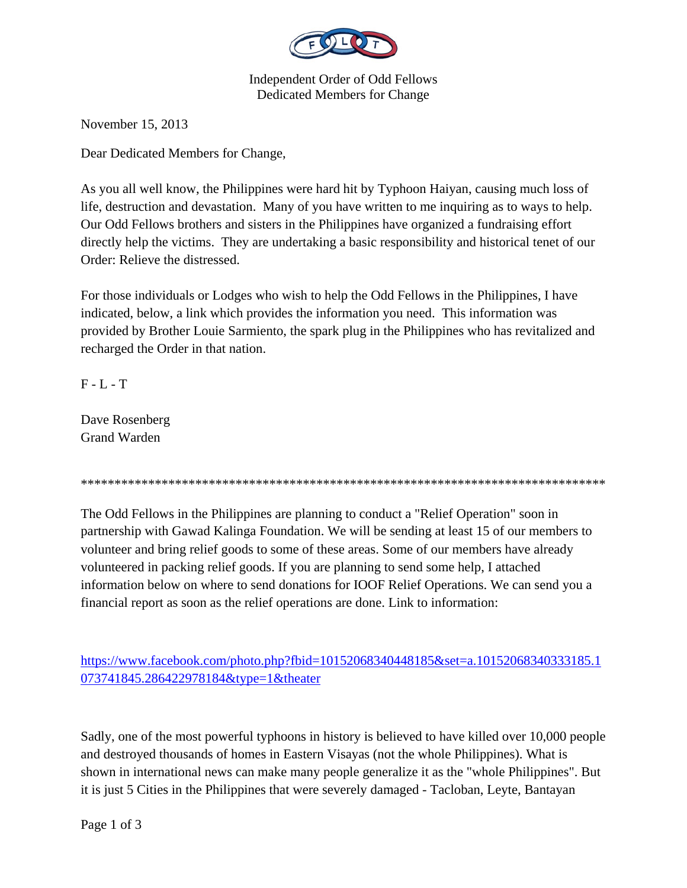

Independent Order of Odd Fellows Dedicated Members for Change

November 15, 2013

Dear Dedicated Members for Change,

As you all well know, the Philippines were hard hit by Typhoon Haiyan, causing much loss of life, destruction and devastation. Many of you have written to me inquiring as to ways to help. Our Odd Fellows brothers and sisters in the Philippines have organized a fundraising effort directly help the victims. They are undertaking a basic responsibility and historical tenet of our Order: Relieve the distressed.

For those individuals or Lodges who wish to help the Odd Fellows in the Philippines, I have indicated, below, a link which provides the information you need. This information was provided by Brother Louie Sarmiento, the spark plug in the Philippines who has revitalized and recharged the Order in that nation.

 $F - L - T$ 

Dave Rosenberg Grand Warden

\*\*\*\*\*\*\*\*\*\*\*\*\*\*\*\*\*\*\*\*\*\*\*\*\*\*\*\*\*\*\*\*\*\*\*\*\*\*\*\*\*\*\*\*\*\*\*\*\*\*\*\*\*\*\*\*\*\*\*\*\*\*\*\*\*\*\*\*\*\*\*\*\*\*\*\*\*\*

The Odd Fellows in the Philippines are planning to conduct a "Relief Operation" soon in partnership with Gawad Kalinga Foundation. We will be sending at least 15 of our members to volunteer and bring relief goods to some of these areas. Some of our members have already volunteered in packing relief goods. If you are planning to send some help, I attached information below on where to send donations for IOOF Relief Operations. We can send you a financial report as soon as the relief operations are done. Link to information:

https://www.facebook.com/photo.php?fbid=10152068340448185&set=a.10152068340333185.1 073741845.286422978184&type=1&theater

Sadly, one of the most powerful typhoons in history is believed to have killed over 10,000 people and destroyed thousands of homes in Eastern Visayas (not the whole Philippines). What is shown in international news can make many people generalize it as the "whole Philippines". But it is just 5 Cities in the Philippines that were severely damaged - Tacloban, Leyte, Bantayan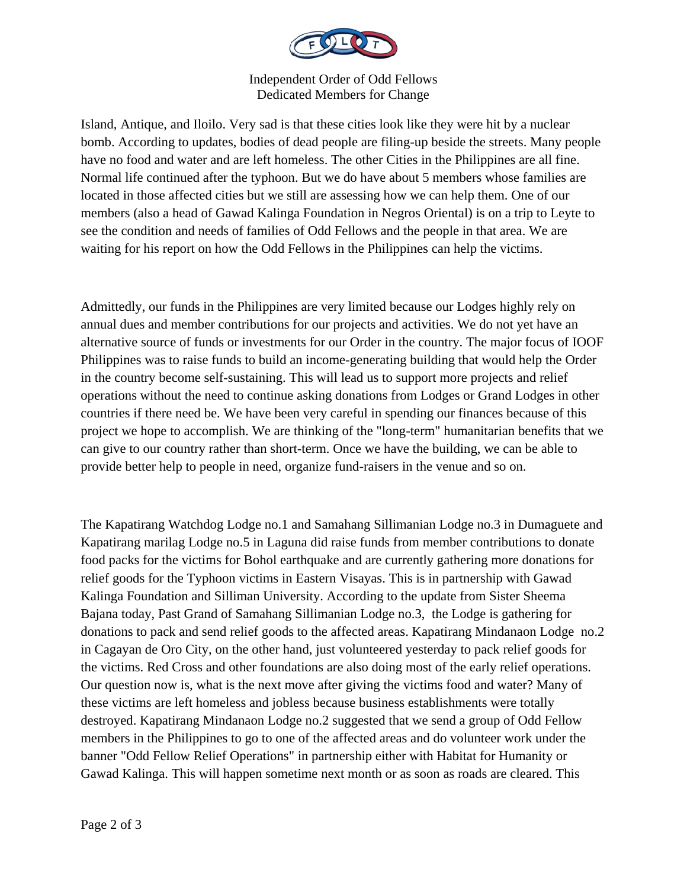

Independent Order of Odd Fellows Dedicated Members for Change

Island, Antique, and Iloilo. Very sad is that these cities look like they were hit by a nuclear bomb. According to updates, bodies of dead people are filing-up beside the streets. Many people have no food and water and are left homeless. The other Cities in the Philippines are all fine. Normal life continued after the typhoon. But we do have about 5 members whose families are located in those affected cities but we still are assessing how we can help them. One of our members (also a head of Gawad Kalinga Foundation in Negros Oriental) is on a trip to Leyte to see the condition and needs of families of Odd Fellows and the people in that area. We are waiting for his report on how the Odd Fellows in the Philippines can help the victims.

Admittedly, our funds in the Philippines are very limited because our Lodges highly rely on annual dues and member contributions for our projects and activities. We do not yet have an alternative source of funds or investments for our Order in the country. The major focus of IOOF Philippines was to raise funds to build an income-generating building that would help the Order in the country become self-sustaining. This will lead us to support more projects and relief operations without the need to continue asking donations from Lodges or Grand Lodges in other countries if there need be. We have been very careful in spending our finances because of this project we hope to accomplish. We are thinking of the "long-term" humanitarian benefits that we can give to our country rather than short-term. Once we have the building, we can be able to provide better help to people in need, organize fund-raisers in the venue and so on.

The Kapatirang Watchdog Lodge no.1 and Samahang Sillimanian Lodge no.3 in Dumaguete and Kapatirang marilag Lodge no.5 in Laguna did raise funds from member contributions to donate food packs for the victims for Bohol earthquake and are currently gathering more donations for relief goods for the Typhoon victims in Eastern Visayas. This is in partnership with Gawad Kalinga Foundation and Silliman University. According to the update from Sister Sheema Bajana today, Past Grand of Samahang Sillimanian Lodge no.3, the Lodge is gathering for donations to pack and send relief goods to the affected areas. Kapatirang Mindanaon Lodge no.2 in Cagayan de Oro City, on the other hand, just volunteered yesterday to pack relief goods for the victims. Red Cross and other foundations are also doing most of the early relief operations. Our question now is, what is the next move after giving the victims food and water? Many of these victims are left homeless and jobless because business establishments were totally destroyed. Kapatirang Mindanaon Lodge no.2 suggested that we send a group of Odd Fellow members in the Philippines to go to one of the affected areas and do volunteer work under the banner "Odd Fellow Relief Operations" in partnership either with Habitat for Humanity or Gawad Kalinga. This will happen sometime next month or as soon as roads are cleared. This